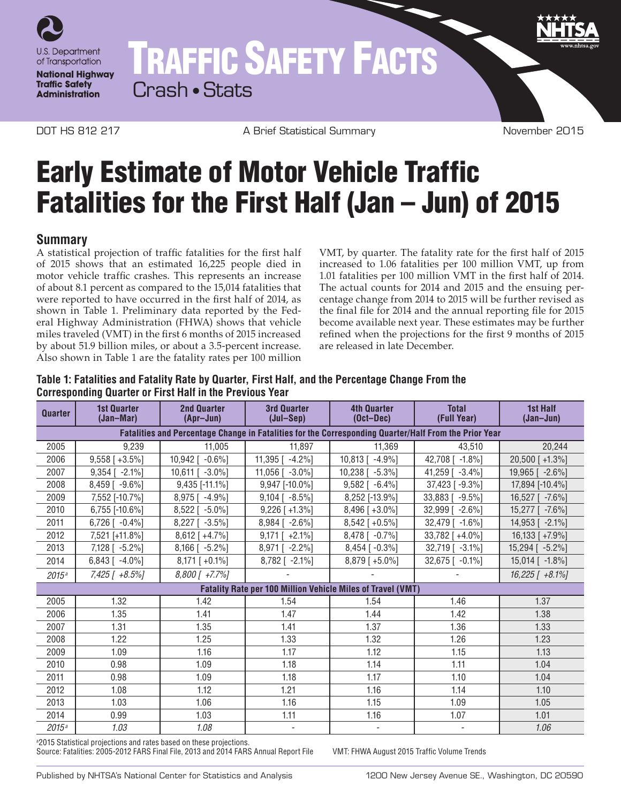

# TRAFFIC SAFETY FACTS

Crash • Stats

DOT HS 812 217 **A Brief Statistical Summary CONTAGE 2015** November 2015

# Early Estimate of Motor Vehicle Traffic Fatalities for the First Half (Jan – Jun) of 2015

## **Summary**

A statistical projection of traffic fatalities for the first half of 2015 shows that an estimated 16,225 people died in motor vehicle traffic crashes. This represents an increase of about 8.1 percent as compared to the 15,014 fatalities that were reported to have occurred in the first half of 2014, as shown in Table 1. Preliminary data reported by the Federal Highway Administration (FHWA) shows that vehicle miles traveled (VMT) in the first 6 months of 2015 increased by about 51.9 billion miles, or about a 3.5-percent increase. Also shown in Table 1 are the fatality rates per 100 million

VMT, by quarter. The fatality rate for the first half of 2015 increased to 1.06 fatalities per 100 million VMT, up from 1.01 fatalities per 100 million VMT in the first half of 2014. The actual counts for 2014 and 2015 and the ensuing percentage change from 2014 to 2015 will be further revised as the final file for 2014 and the annual reporting file for 2015 become available next year. These estimates may be further refined when the projections for the first 9 months of 2015 are released in late December.

#### **Table 1: Fatalities and Fatality Rate by Quarter, First Half, and the Percentage Change From the Corresponding Quarter or First Half in the Previous Year**

| <b>Quarter</b>                                                                                        | <b>1st Quarter</b><br>(Jan-Mar) | <b>2nd Quarter</b><br>(Apr-Jun) | <b>3rd Quarter</b><br>(Jul-Sep) | <b>4th Quarter</b><br>$(Oct-Dec)$ | <b>Total</b><br>(Full Year) | <b>1st Half</b><br>$(Jan-Jun)$ |
|-------------------------------------------------------------------------------------------------------|---------------------------------|---------------------------------|---------------------------------|-----------------------------------|-----------------------------|--------------------------------|
| Fatalities and Percentage Change in Fatalities for the Corresponding Quarter/Half From the Prior Year |                                 |                                 |                                 |                                   |                             |                                |
| 2005                                                                                                  | 9.239                           | 11,005                          | 11,897                          | 11,369                            | 43.510                      | 20,244                         |
| 2006                                                                                                  | $9,558$ [ +3.5%]                | $10,942$ [ $-0.6\%$ ]           | 11,395 $[-4.2\%]$               | $10,813$ [ $-4.9\%$ ]             | 42,708 [ -1.8%]             | 20,500 [+1.3%]                 |
| 2007                                                                                                  | $9.354$ [ $-2.1\%$ ]            | 10.611 [ -3.0%]                 | $11.056$ [ $-3.0\%$ ]           | $10,238$ [ $-5.3\%$ ]             | 41.259 [ -3.4%]             | 19,965 [ -2.6%]                |
| 2008                                                                                                  | 8,459 [ -9.6%]                  | $9,435$ [-11.1%]                | 9,947 [-10.0%]                  | $9,582$ [ $-6.4\%$ ]              | 37,423 [ -9.3%]             | 17,894 [-10.4%]                |
| 2009                                                                                                  | 7,552 [-10.7%]                  | 8,975 [ -4.9%]                  | $9,104$ [ $-8.5\%$ ]            | 8,252 [-13.9%]                    | 33,883 [ -9.5%]             | 16.527 [ -7.6%]                |
| 2010                                                                                                  | 6,755 [-10.6%]                  | 8,522 [ -5.0%]                  | $9,226$ [ +1.3%]                | $8,496$ [ +3.0%]                  | 32,999 [ -2.6%]             | 15,277 [ -7.6%]                |
| 2011                                                                                                  | $6,726$ [ $-0.4\%$ ]            | $8,227$ [ $-3.5\%$ ]            | $8,984$ [ -2.6%]                | $8,542$ [ +0.5%]                  | $32,479$ [ -1.6%]           | $14,953$ [ -2.1%]              |
| 2012                                                                                                  | 7,521 [+11.8%]                  | $8,612$ [ +4.7%]                | $9,171$ [ +2.1%]                | $8.478$ [ $-0.7\%$ ]              | 33,782 [+4.0%]              | $16,133$ [ +7.9%]              |
| 2013                                                                                                  | 7,128 [ -5.2%]                  | $8,166$ [ $-5.2\%$ ]            | 8,971 [ -2.2%]                  | $8,454$ [ $-0.3\%$ ]              | 32,719 [ -3.1%]             | 15,294 [ -5.2%]                |
| 2014                                                                                                  | $6,843$ [ $-4.0\%$ ]            | $8,171$ [ +0.1%]                | 8,782 [ -2.1%]                  | $8,879$ [ +5.0%]                  | $32,675$ [ $-0.1\%$ ]       | $15,014$ [ -1.8%]              |
| 2015a                                                                                                 | 7,425 [ +8.5%]                  | $8,800$ [ +7.7%]                |                                 |                                   |                             | $16,225$ [ $+8.1\%$ ]          |
| <b>Fatality Rate per 100 Million Vehicle Miles of Travel (VMT)</b>                                    |                                 |                                 |                                 |                                   |                             |                                |
| 2005                                                                                                  | 1.32                            | 1.42                            | 1.54                            | 1.54                              | 1.46                        | 1.37                           |
| 2006                                                                                                  | 1.35                            | 1.41                            | 1.47                            | 1.44                              | 1.42                        | 1.38                           |
| 2007                                                                                                  | 1.31                            | 1.35                            | 1.41                            | 1.37                              | 1.36                        | 1.33                           |
| 2008                                                                                                  | 1.22                            | 1.25                            | 1.33                            | 1.32                              | 1.26                        | 1.23                           |
| 2009                                                                                                  | 1.09                            | 1.16                            | 1.17                            | 1.12                              | 1.15                        | 1.13                           |
| 2010                                                                                                  | 0.98                            | 1.09                            | 1.18                            | 1.14                              | 1.11                        | 1.04                           |
| 2011                                                                                                  | 0.98                            | 1.09                            | 1.18                            | 1.17                              | 1.10                        | 1.04                           |
| 2012                                                                                                  | 1.08                            | 1.12                            | 1.21                            | 1.16                              | 1.14                        | 1.10                           |
| 2013                                                                                                  | 1.03                            | 1.06                            | 1.16                            | 1.15                              | 1.09                        | 1.05                           |
| 2014                                                                                                  | 0.99                            | 1.03                            | 1.11                            | 1.16                              | 1.07                        | 1.01                           |
| 2015 <sup>a</sup>                                                                                     | 1.03                            | 1.08                            |                                 |                                   |                             | 1.06                           |

a 2015 Statistical projections and rates based on these projections.

Source: Fatalities: 2005-2012 FARS Final File, 2013 and 2014 FARS Annual Report File VMT: FHWA August 2015 Traffic Volume Trends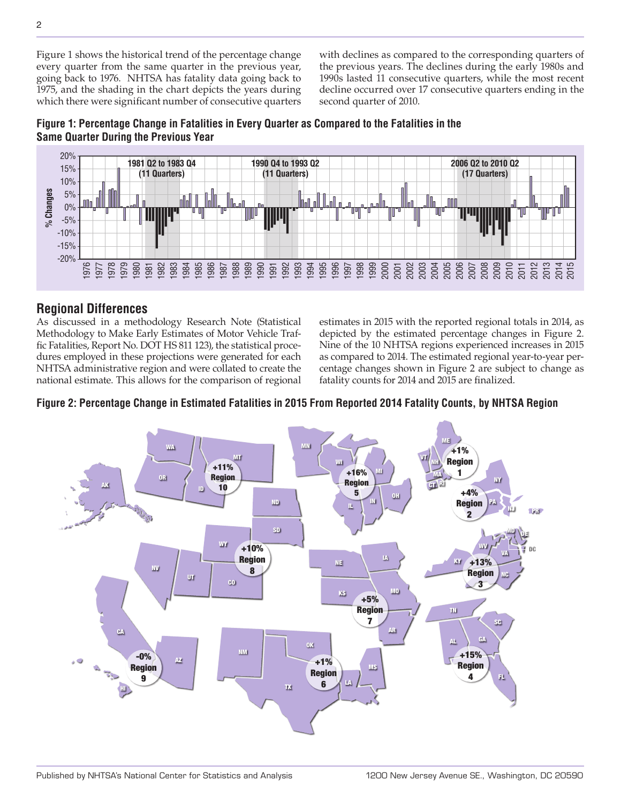Figure 1 shows the historical trend of the percentage change every quarter from the same quarter in the previous year, going back to 1976. NHTSA has fatality data going back to 1975, and the shading in the chart depicts the years during which there were significant number of consecutive quarters

with declines as compared to the corresponding quarters of the previous years. The declines during the early 1980s and 1990s lasted 11 consecutive quarters, while the most recent decline occurred over 17 consecutive quarters ending in the second quarter of 2010.





# **Regional Differences**

As discussed in a methodology Research Note (Statistical Methodology to Make Early Estimates of Motor Vehicle Traffic Fatalities, Report No. DOT HS 811 123), the statistical procedures employed in these projections were generated for each NHTSA administrative region and were collated to create the national estimate. This allows for the comparison of regional estimates in 2015 with the reported regional totals in 2014, as depicted by the estimated percentage changes in Figure 2. Nine of the 10 NHTSA regions experienced increases in 2015 as compared to 2014. The estimated regional year-to-year percentage changes shown in Figure 2 are subject to change as fatality counts for 2014 and 2015 are finalized.